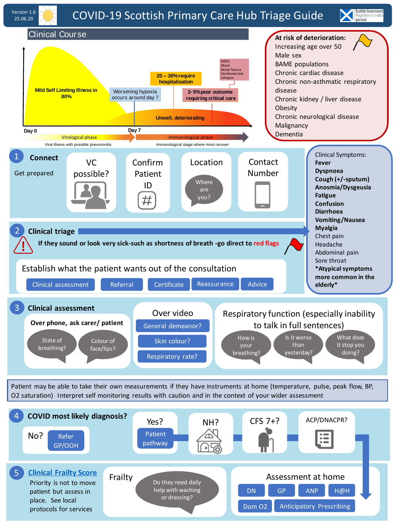